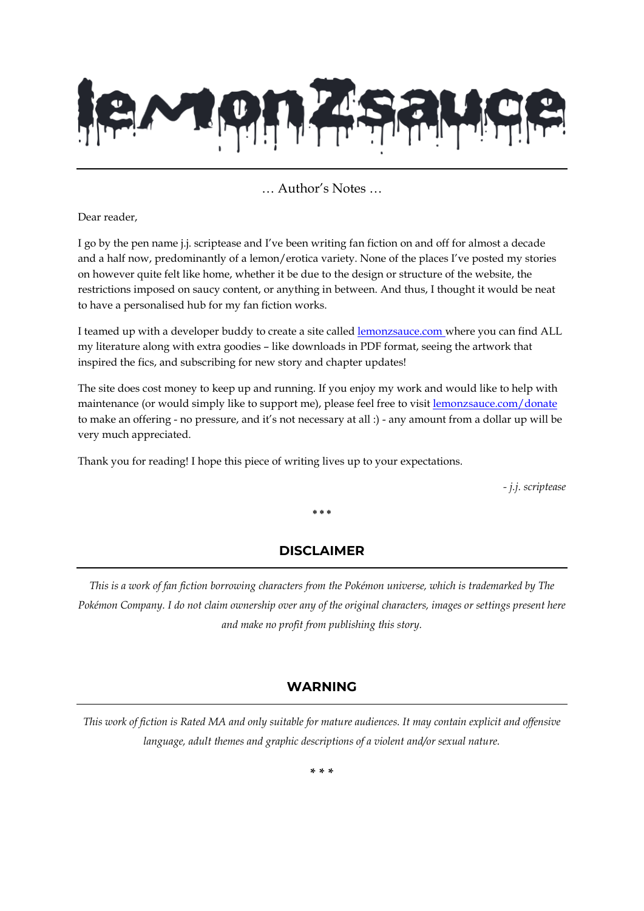

… Author's Notes …

Dear reader,

I go by the pen name j.j. scriptease and I've been writing fan fiction on and off for almost a decade and a half now, predominantly of a lemon/erotica variety. None of the places I've posted my stories on however quite felt like home, whether it be due to the design or structure of the website, the restrictions imposed on saucy content, or anything in between. And thus, I thought it would be neat to have a personalised hub for my fan fiction works.

I teamed up with a developer buddy to create a site called **lemonzsauce.com** where you can find ALL my literature along with extra goodies – like downloads in PDF format, seeing the artwork that inspired the fics, and subscribing for new story and chapter updates!

The site does cost money to keep up and running. If you enjoy my work and would like to help with maintenance (or would simply like to support me), please feel free to visit [lemonzsauce.com/donate](https://lemonzsauce.com/donate) to make an offering - no pressure, and it's not necessary at all :) - any amount from a dollar up will be very much appreciated.

Thank you for reading! I hope this piece of writing lives up to your expectations.

*- j.j. scriptease*

## **\* \* \***

### **DISCLAIMER**

*This is a work of fan fiction borrowing characters from the Pokémon universe, which is trademarked by The Pokémon Company. I do not claim ownership over any of the original characters, images or settings present here and make no profit from publishing this story.*

### **WARNING**

*This work of fiction is Rated MA and only suitable for mature audiences. It may contain explicit and offensive language, adult themes and graphic descriptions of a violent and/or sexual nature.*

**\* \* \***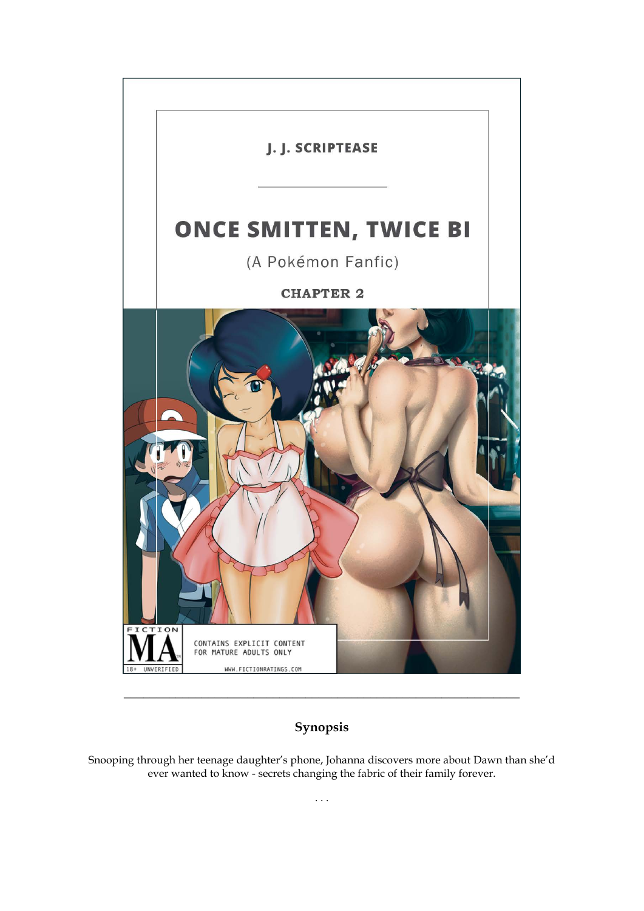

### **Synopsis**

Snooping through her teenage daughter's phone, Johanna discovers more about Dawn than she'd ever wanted to know - secrets changing the fabric of their family forever.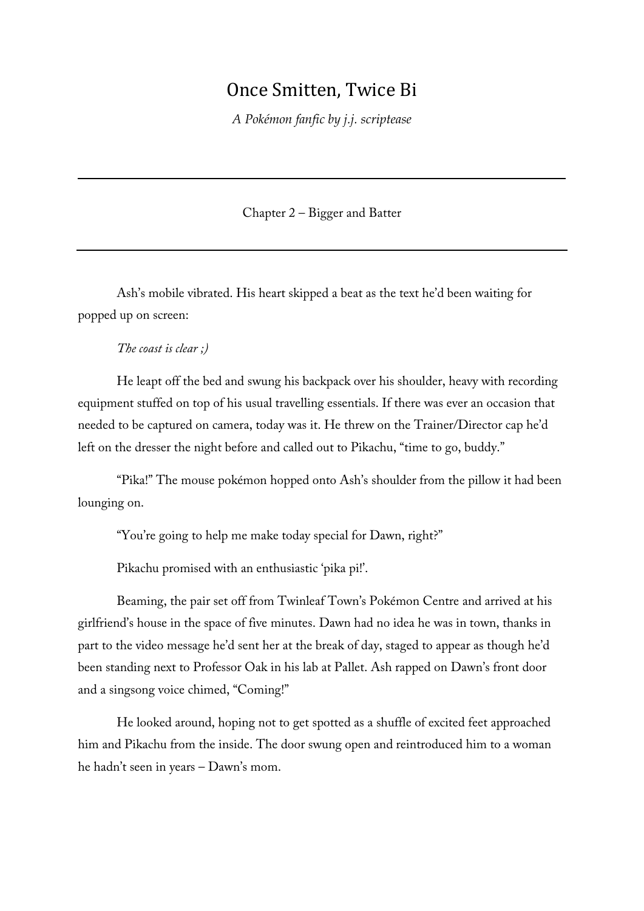# Once Smitten, Twice Bi

*A Pokémon fanfic by j.j. scriptease*

Chapter 2 – Bigger and Batter

Ash's mobile vibrated. His heart skipped a beat as the text he'd been waiting for popped up on screen:

*The coast is clear ;)*

He leapt off the bed and swung his backpack over his shoulder, heavy with recording equipment stuffed on top of his usual travelling essentials. If there was ever an occasion that needed to be captured on camera, today was it. He threw on the Trainer/Director cap he'd left on the dresser the night before and called out to Pikachu, "time to go, buddy."

"Pika!" The mouse pokémon hopped onto Ash's shoulder from the pillow it had been lounging on.

"You're going to help me make today special for Dawn, right?"

Pikachu promised with an enthusiastic 'pika pi!'.

Beaming, the pair set off from Twinleaf Town's Pokémon Centre and arrived at his girlfriend's house in the space of five minutes. Dawn had no idea he was in town, thanks in part to the video message he'd sent her at the break of day, staged to appear as though he'd been standing next to Professor Oak in his lab at Pallet. Ash rapped on Dawn's front door and a singsong voice chimed, "Coming!"

He looked around, hoping not to get spotted as a shuffle of excited feet approached him and Pikachu from the inside. The door swung open and reintroduced him to a woman he hadn't seen in years – Dawn's mom.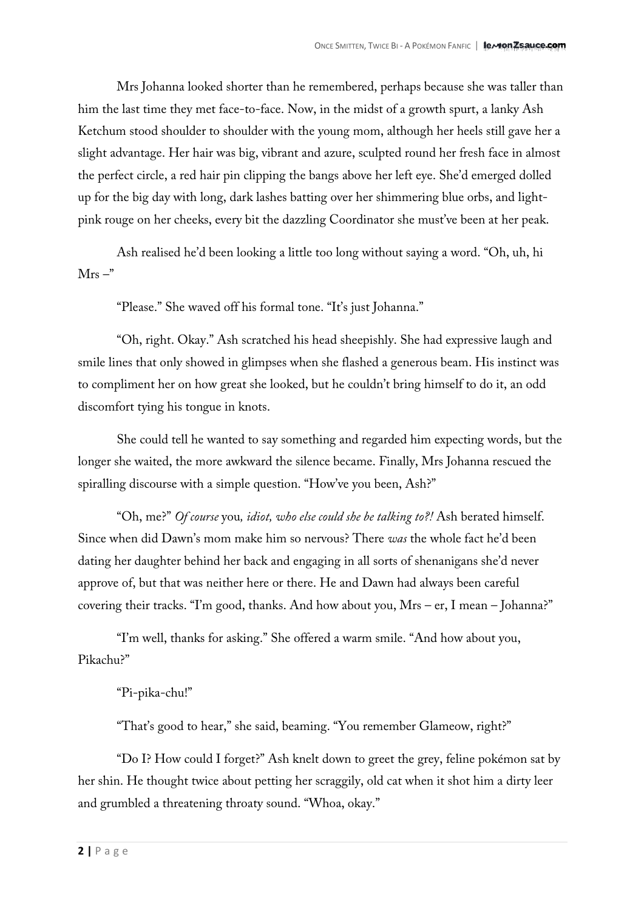Mrs Johanna looked shorter than he remembered, perhaps because she was taller than him the last time they met face-to-face. Now, in the midst of a growth spurt, a lanky Ash Ketchum stood shoulder to shoulder with the young mom, although her heels still gave her a slight advantage. Her hair was big, vibrant and azure, sculpted round her fresh face in almost the perfect circle, a red hair pin clipping the bangs above her left eye. She'd emerged dolled up for the big day with long, dark lashes batting over her shimmering blue orbs, and lightpink rouge on her cheeks, every bit the dazzling Coordinator she must've been at her peak.

Ash realised he'd been looking a little too long without saying a word. "Oh, uh, hi  $Mrs -$ "

"Please." She waved off his formal tone. "It's just Johanna."

"Oh, right. Okay." Ash scratched his head sheepishly. She had expressive laugh and smile lines that only showed in glimpses when she flashed a generous beam. His instinct was to compliment her on how great she looked, but he couldn't bring himself to do it, an odd discomfort tying his tongue in knots.

She could tell he wanted to say something and regarded him expecting words, but the longer she waited, the more awkward the silence became. Finally, Mrs Johanna rescued the spiralling discourse with a simple question. "How've you been, Ash?"

"Oh, me?" *Of course* you*, idiot, who else could she be talking to?!* Ash berated himself. Since when did Dawn's mom make him so nervous? There *was* the whole fact he'd been dating her daughter behind her back and engaging in all sorts of shenanigans she'd never approve of, but that was neither here or there. He and Dawn had always been careful covering their tracks. "I'm good, thanks. And how about you, Mrs – er, I mean – Johanna?"

"I'm well, thanks for asking." She offered a warm smile. "And how about you, Pikachu?"

"Pi-pika-chu!"

"That's good to hear," she said, beaming. "You remember Glameow, right?"

"Do I? How could I forget?" Ash knelt down to greet the grey, feline pokémon sat by her shin. He thought twice about petting her scraggily, old cat when it shot him a dirty leer and grumbled a threatening throaty sound. "Whoa, okay."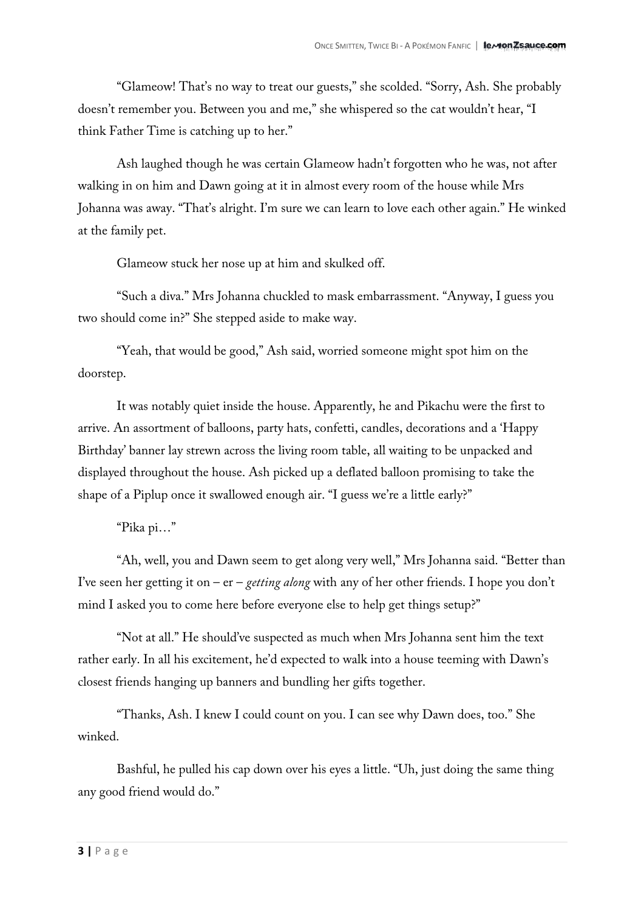"Glameow! That's no way to treat our guests," she scolded. "Sorry, Ash. She probably doesn't remember you. Between you and me," she whispered so the cat wouldn't hear, "I think Father Time is catching up to her."

Ash laughed though he was certain Glameow hadn't forgotten who he was, not after walking in on him and Dawn going at it in almost every room of the house while Mrs Johanna was away. "That's alright. I'm sure we can learn to love each other again." He winked at the family pet.

Glameow stuck her nose up at him and skulked off.

"Such a diva." Mrs Johanna chuckled to mask embarrassment. "Anyway, I guess you two should come in?" She stepped aside to make way.

"Yeah, that would be good," Ash said, worried someone might spot him on the doorstep.

It was notably quiet inside the house. Apparently, he and Pikachu were the first to arrive. An assortment of balloons, party hats, confetti, candles, decorations and a 'Happy Birthday' banner lay strewn across the living room table, all waiting to be unpacked and displayed throughout the house. Ash picked up a deflated balloon promising to take the shape of a Piplup once it swallowed enough air. "I guess we're a little early?"

"Pika pi…"

"Ah, well, you and Dawn seem to get along very well," Mrs Johanna said. "Better than I've seen her getting it on – er – *getting along* with any of her other friends. I hope you don't mind I asked you to come here before everyone else to help get things setup?"

"Not at all." He should've suspected as much when Mrs Johanna sent him the text rather early. In all his excitement, he'd expected to walk into a house teeming with Dawn's closest friends hanging up banners and bundling her gifts together.

"Thanks, Ash. I knew I could count on you. I can see why Dawn does, too." She winked.

Bashful, he pulled his cap down over his eyes a little. "Uh, just doing the same thing any good friend would do."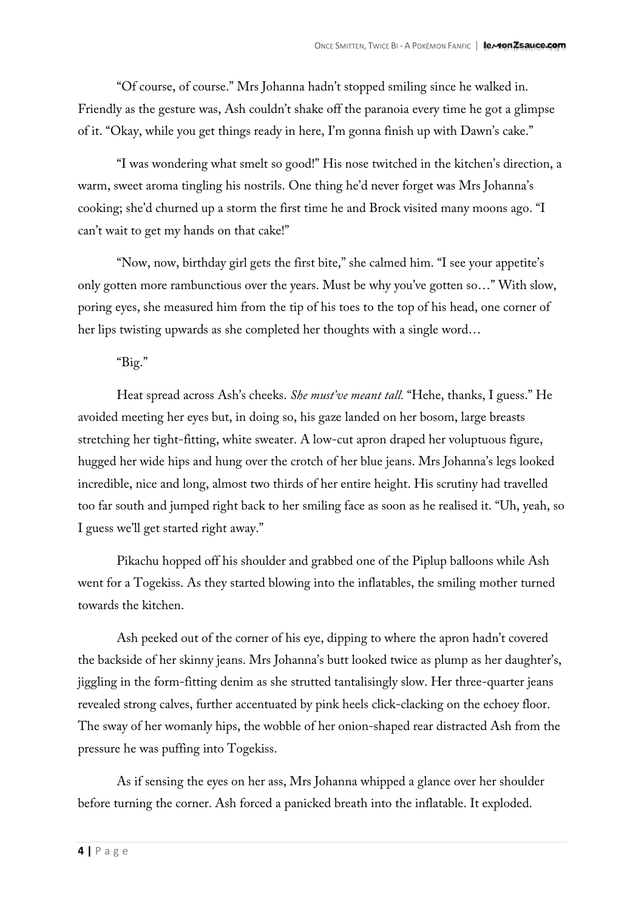"Of course, of course." Mrs Johanna hadn't stopped smiling since he walked in. Friendly as the gesture was, Ash couldn't shake off the paranoia every time he got a glimpse of it. "Okay, while you get things ready in here, I'm gonna finish up with Dawn's cake."

"I was wondering what smelt so good!" His nose twitched in the kitchen's direction, a warm, sweet aroma tingling his nostrils. One thing he'd never forget was Mrs Johanna's cooking; she'd churned up a storm the first time he and Brock visited many moons ago. "I can't wait to get my hands on that cake!"

"Now, now, birthday girl gets the first bite," she calmed him. "I see your appetite's only gotten more rambunctious over the years. Must be why you've gotten so…" With slow, poring eyes, she measured him from the tip of his toes to the top of his head, one corner of her lips twisting upwards as she completed her thoughts with a single word…

"Big."

Heat spread across Ash's cheeks. *She must've meant tall.* "Hehe, thanks, I guess." He avoided meeting her eyes but, in doing so, his gaze landed on her bosom, large breasts stretching her tight-fitting, white sweater. A low-cut apron draped her voluptuous figure, hugged her wide hips and hung over the crotch of her blue jeans. Mrs Johanna's legs looked incredible, nice and long, almost two thirds of her entire height. His scrutiny had travelled too far south and jumped right back to her smiling face as soon as he realised it. "Uh, yeah, so I guess we'll get started right away."

Pikachu hopped off his shoulder and grabbed one of the Piplup balloons while Ash went for a Togekiss. As they started blowing into the inflatables, the smiling mother turned towards the kitchen.

Ash peeked out of the corner of his eye, dipping to where the apron hadn't covered the backside of her skinny jeans. Mrs Johanna's butt looked twice as plump as her daughter's, jiggling in the form-fitting denim as she strutted tantalisingly slow. Her three-quarter jeans revealed strong calves, further accentuated by pink heels click-clacking on the echoey floor. The sway of her womanly hips, the wobble of her onion-shaped rear distracted Ash from the pressure he was puffing into Togekiss.

As if sensing the eyes on her ass, Mrs Johanna whipped a glance over her shoulder before turning the corner. Ash forced a panicked breath into the inflatable. It exploded.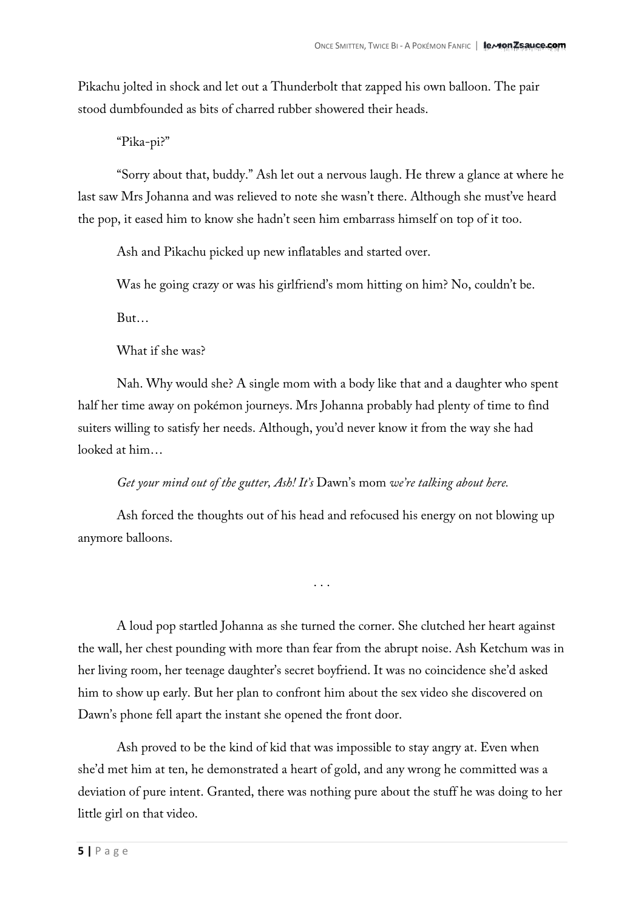Pikachu jolted in shock and let out a Thunderbolt that zapped his own balloon. The pair stood dumbfounded as bits of charred rubber showered their heads.

"Pika-pi?"

"Sorry about that, buddy." Ash let out a nervous laugh. He threw a glance at where he last saw Mrs Johanna and was relieved to note she wasn't there. Although she must've heard the pop, it eased him to know she hadn't seen him embarrass himself on top of it too.

Ash and Pikachu picked up new inflatables and started over.

Was he going crazy or was his girlfriend's mom hitting on him? No, couldn't be.

But…

What if she was?

Nah. Why would she? A single mom with a body like that and a daughter who spent half her time away on pokémon journeys. Mrs Johanna probably had plenty of time to find suiters willing to satisfy her needs. Although, you'd never know it from the way she had looked at him…

### *Get your mind out of the gutter, Ash! It's* Dawn's mom *we're talking about here.*

Ash forced the thoughts out of his head and refocused his energy on not blowing up anymore balloons.

. . .

A loud pop startled Johanna as she turned the corner. She clutched her heart against the wall, her chest pounding with more than fear from the abrupt noise. Ash Ketchum was in her living room, her teenage daughter's secret boyfriend. It was no coincidence she'd asked him to show up early. But her plan to confront him about the sex video she discovered on Dawn's phone fell apart the instant she opened the front door.

Ash proved to be the kind of kid that was impossible to stay angry at. Even when she'd met him at ten, he demonstrated a heart of gold, and any wrong he committed was a deviation of pure intent. Granted, there was nothing pure about the stuff he was doing to her little girl on that video.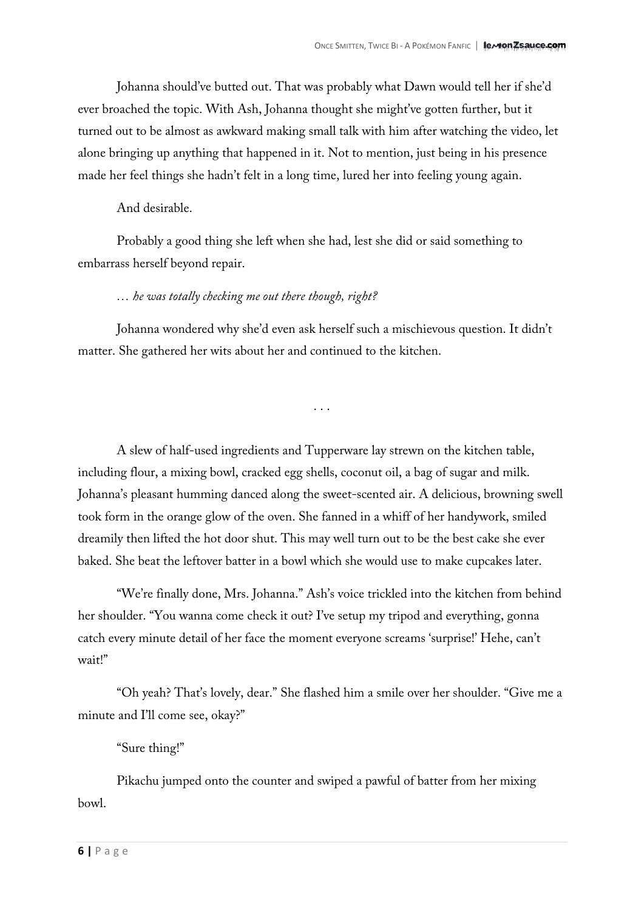Johanna should've butted out. That was probably what Dawn would tell her if she'd ever broached the topic. With Ash, Johanna thought she might've gotten further, but it turned out to be almost as awkward making small talk with him after watching the video, let alone bringing up anything that happened in it. Not to mention, just being in his presence made her feel things she hadn't felt in a long time, lured her into feeling young again.

And desirable.

Probably a good thing she left when she had, lest she did or said something to embarrass herself beyond repair.

#### *… he was totally checking me out there though, right?*

Johanna wondered why she'd even ask herself such a mischievous question. It didn't matter. She gathered her wits about her and continued to the kitchen.

. . .

A slew of half-used ingredients and Tupperware lay strewn on the kitchen table, including flour, a mixing bowl, cracked egg shells, coconut oil, a bag of sugar and milk. Johanna's pleasant humming danced along the sweet-scented air. A delicious, browning swell took form in the orange glow of the oven. She fanned in a whiff of her handywork, smiled dreamily then lifted the hot door shut. This may well turn out to be the best cake she ever baked. She beat the leftover batter in a bowl which she would use to make cupcakes later.

"We're finally done, Mrs. Johanna." Ash's voice trickled into the kitchen from behind her shoulder. "You wanna come check it out? I've setup my tripod and everything, gonna catch every minute detail of her face the moment everyone screams 'surprise!' Hehe, can't wait!"

"Oh yeah? That's lovely, dear." She flashed him a smile over her shoulder. "Give me a minute and I'll come see, okay?"

"Sure thing!"

Pikachu jumped onto the counter and swiped a pawful of batter from her mixing bowl.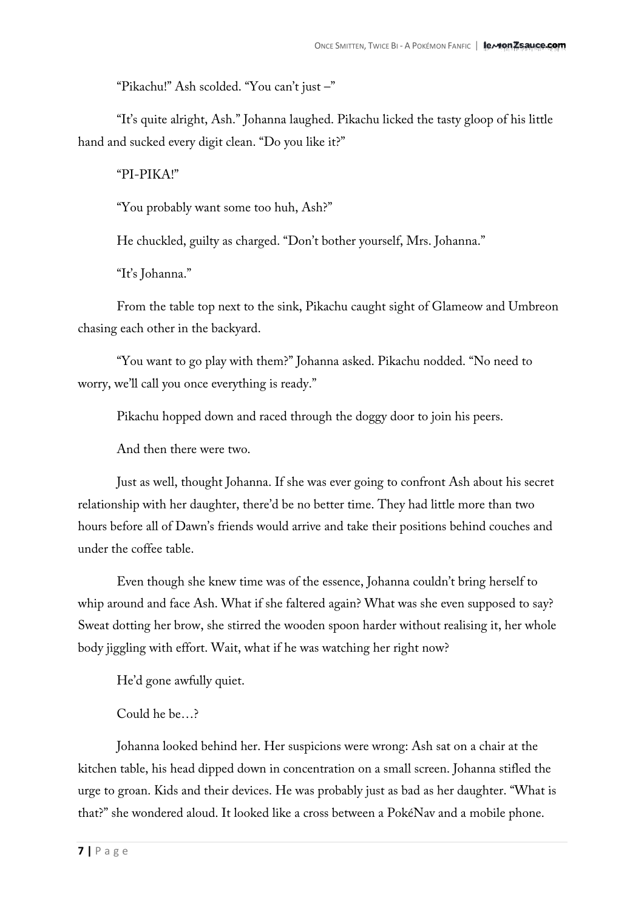"Pikachu!" Ash scolded. "You can't just –"

"It's quite alright, Ash." Johanna laughed. Pikachu licked the tasty gloop of his little hand and sucked every digit clean. "Do you like it?"

"PI-PIKA!"

"You probably want some too huh, Ash?"

He chuckled, guilty as charged. "Don't bother yourself, Mrs. Johanna."

"It's Johanna."

From the table top next to the sink, Pikachu caught sight of Glameow and Umbreon chasing each other in the backyard.

"You want to go play with them?" Johanna asked. Pikachu nodded. "No need to worry, we'll call you once everything is ready."

Pikachu hopped down and raced through the doggy door to join his peers.

And then there were two.

Just as well, thought Johanna. If she was ever going to confront Ash about his secret relationship with her daughter, there'd be no better time. They had little more than two hours before all of Dawn's friends would arrive and take their positions behind couches and under the coffee table.

Even though she knew time was of the essence, Johanna couldn't bring herself to whip around and face Ash. What if she faltered again? What was she even supposed to say? Sweat dotting her brow, she stirred the wooden spoon harder without realising it, her whole body jiggling with effort. Wait, what if he was watching her right now?

He'd gone awfully quiet.

Could he be…?

Johanna looked behind her. Her suspicions were wrong: Ash sat on a chair at the kitchen table, his head dipped down in concentration on a small screen. Johanna stifled the urge to groan. Kids and their devices. He was probably just as bad as her daughter. "What is that?" she wondered aloud. It looked like a cross between a PokéNav and a mobile phone.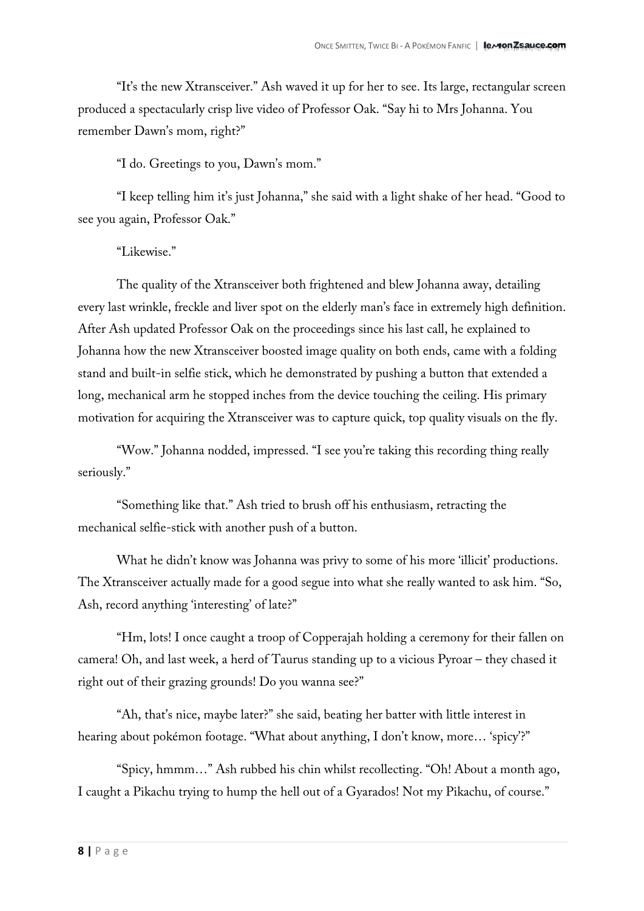"It's the new Xtransceiver." Ash waved it up for her to see. Its large, rectangular screen produced a spectacularly crisp live video of Professor Oak. "Say hi to Mrs Johanna. You remember Dawn's mom, right?"

"I do. Greetings to you, Dawn's mom."

"I keep telling him it's just Johanna," she said with a light shake of her head. "Good to see you again, Professor Oak."

"Likewise."

The quality of the Xtransceiver both frightened and blew Johanna away, detailing every last wrinkle, freckle and liver spot on the elderly man's face in extremely high definition. After Ash updated Professor Oak on the proceedings since his last call, he explained to Johanna how the new Xtransceiver boosted image quality on both ends, came with a folding stand and built-in selfie stick, which he demonstrated by pushing a button that extended a long, mechanical arm he stopped inches from the device touching the ceiling. His primary motivation for acquiring the Xtransceiver was to capture quick, top quality visuals on the fly.

"Wow." Johanna nodded, impressed. "I see you're taking this recording thing really seriously."

"Something like that." Ash tried to brush off his enthusiasm, retracting the mechanical selfie-stick with another push of a button.

What he didn't know was Johanna was privy to some of his more 'illicit' productions. The Xtransceiver actually made for a good segue into what she really wanted to ask him. "So, Ash, record anything 'interesting' of late?"

"Hm, lots! I once caught a troop of Copperajah holding a ceremony for their fallen on camera! Oh, and last week, a herd of Taurus standing up to a vicious Pyroar – they chased it right out of their grazing grounds! Do you wanna see?"

"Ah, that's nice, maybe later?" she said, beating her batter with little interest in hearing about pokémon footage. "What about anything, I don't know, more… 'spicy'?"

"Spicy, hmmm…" Ash rubbed his chin whilst recollecting. "Oh! About a month ago, I caught a Pikachu trying to hump the hell out of a Gyarados! Not my Pikachu, of course."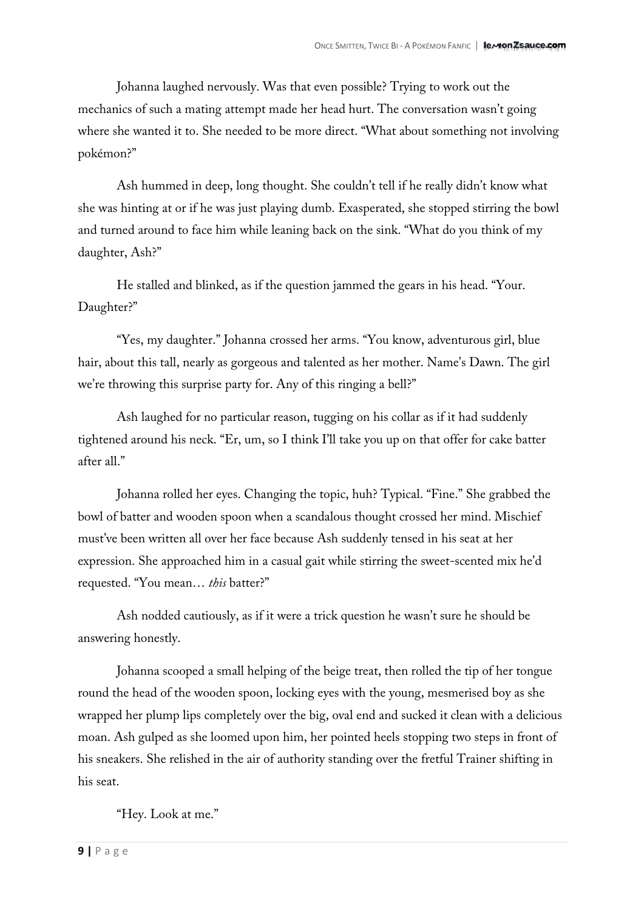Johanna laughed nervously. Was that even possible? Trying to work out the mechanics of such a mating attempt made her head hurt. The conversation wasn't going where she wanted it to. She needed to be more direct. "What about something not involving pokémon?"

Ash hummed in deep, long thought. She couldn't tell if he really didn't know what she was hinting at or if he was just playing dumb. Exasperated, she stopped stirring the bowl and turned around to face him while leaning back on the sink. "What do you think of my daughter, Ash?"

He stalled and blinked, as if the question jammed the gears in his head. "Your. Daughter?"

"Yes, my daughter." Johanna crossed her arms. "You know, adventurous girl, blue hair, about this tall, nearly as gorgeous and talented as her mother. Name's Dawn. The girl we're throwing this surprise party for. Any of this ringing a bell?"

Ash laughed for no particular reason, tugging on his collar as if it had suddenly tightened around his neck. "Er, um, so I think I'll take you up on that offer for cake batter after all."

Johanna rolled her eyes. Changing the topic, huh? Typical. "Fine." She grabbed the bowl of batter and wooden spoon when a scandalous thought crossed her mind. Mischief must've been written all over her face because Ash suddenly tensed in his seat at her expression. She approached him in a casual gait while stirring the sweet-scented mix he'd requested. "You mean… *this* batter?"

Ash nodded cautiously, as if it were a trick question he wasn't sure he should be answering honestly.

Johanna scooped a small helping of the beige treat, then rolled the tip of her tongue round the head of the wooden spoon, locking eyes with the young, mesmerised boy as she wrapped her plump lips completely over the big, oval end and sucked it clean with a delicious moan. Ash gulped as she loomed upon him, her pointed heels stopping two steps in front of his sneakers. She relished in the air of authority standing over the fretful Trainer shifting in his seat.

"Hey. Look at me."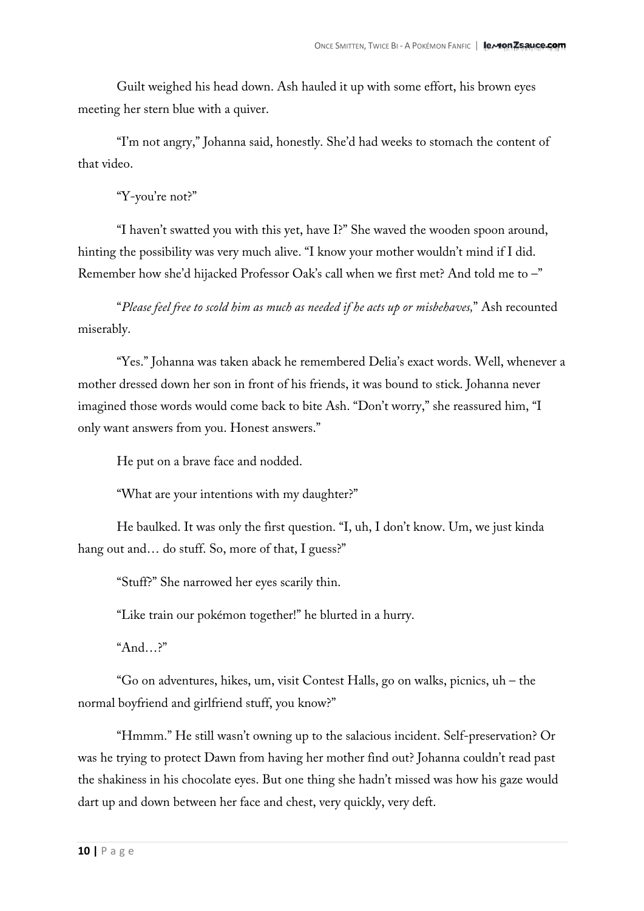Guilt weighed his head down. Ash hauled it up with some effort, his brown eyes meeting her stern blue with a quiver.

"I'm not angry," Johanna said, honestly. She'd had weeks to stomach the content of that video.

"Y-you're not?"

"I haven't swatted you with this yet, have I?" She waved the wooden spoon around, hinting the possibility was very much alive. "I know your mother wouldn't mind if I did. Remember how she'd hijacked Professor Oak's call when we first met? And told me to –"

"*Please feel free to scold him as much as needed if he acts up or misbehaves,*" Ash recounted miserably.

"Yes." Johanna was taken aback he remembered Delia's exact words. Well, whenever a mother dressed down her son in front of his friends, it was bound to stick. Johanna never imagined those words would come back to bite Ash. "Don't worry," she reassured him, "I only want answers from you. Honest answers."

He put on a brave face and nodded.

"What are your intentions with my daughter?"

He baulked. It was only the first question. "I, uh, I don't know. Um, we just kinda hang out and... do stuff. So, more of that, I guess?"

"Stuff?" She narrowed her eyes scarily thin.

"Like train our pokémon together!" he blurted in a hurry.

 $"And...$ <sup>"</sup>

"Go on adventures, hikes, um, visit Contest Halls, go on walks, picnics, uh – the normal boyfriend and girlfriend stuff, you know?"

"Hmmm." He still wasn't owning up to the salacious incident. Self-preservation? Or was he trying to protect Dawn from having her mother find out? Johanna couldn't read past the shakiness in his chocolate eyes. But one thing she hadn't missed was how his gaze would dart up and down between her face and chest, very quickly, very deft.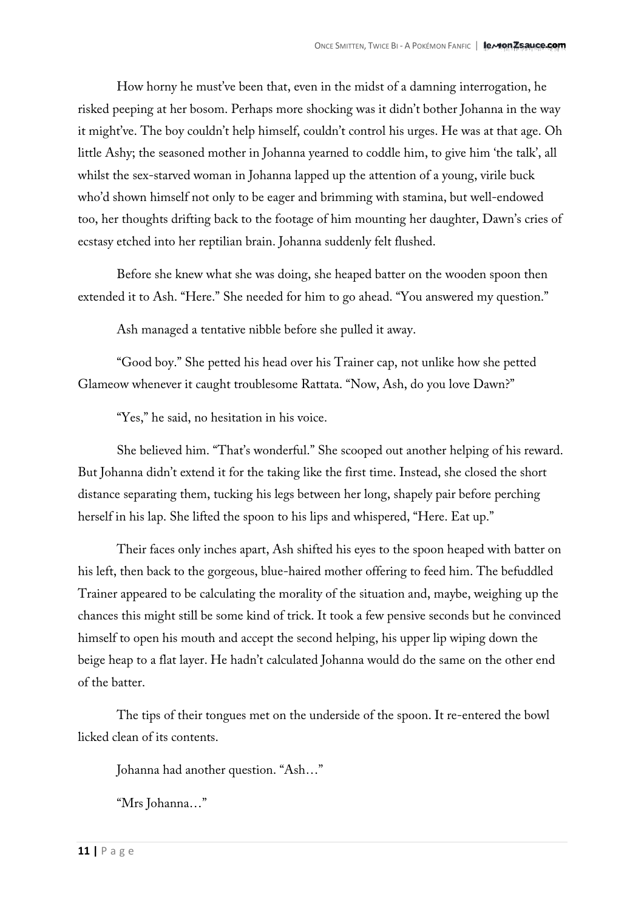How horny he must've been that, even in the midst of a damning interrogation, he risked peeping at her bosom. Perhaps more shocking was it didn't bother Johanna in the way it might've. The boy couldn't help himself, couldn't control his urges. He was at that age. Oh little Ashy; the seasoned mother in Johanna yearned to coddle him, to give him 'the talk', all whilst the sex-starved woman in Johanna lapped up the attention of a young, virile buck who'd shown himself not only to be eager and brimming with stamina, but well-endowed too, her thoughts drifting back to the footage of him mounting her daughter, Dawn's cries of ecstasy etched into her reptilian brain. Johanna suddenly felt flushed.

Before she knew what she was doing, she heaped batter on the wooden spoon then extended it to Ash. "Here." She needed for him to go ahead. "You answered my question."

Ash managed a tentative nibble before she pulled it away.

"Good boy." She petted his head over his Trainer cap, not unlike how she petted Glameow whenever it caught troublesome Rattata. "Now, Ash, do you love Dawn?"

"Yes," he said, no hesitation in his voice.

She believed him. "That's wonderful." She scooped out another helping of his reward. But Johanna didn't extend it for the taking like the first time. Instead, she closed the short distance separating them, tucking his legs between her long, shapely pair before perching herself in his lap. She lifted the spoon to his lips and whispered, "Here. Eat up."

Their faces only inches apart, Ash shifted his eyes to the spoon heaped with batter on his left, then back to the gorgeous, blue-haired mother offering to feed him. The befuddled Trainer appeared to be calculating the morality of the situation and, maybe, weighing up the chances this might still be some kind of trick. It took a few pensive seconds but he convinced himself to open his mouth and accept the second helping, his upper lip wiping down the beige heap to a flat layer. He hadn't calculated Johanna would do the same on the other end of the batter.

The tips of their tongues met on the underside of the spoon. It re-entered the bowl licked clean of its contents.

Johanna had another question. "Ash…"

"Mrs Johanna…"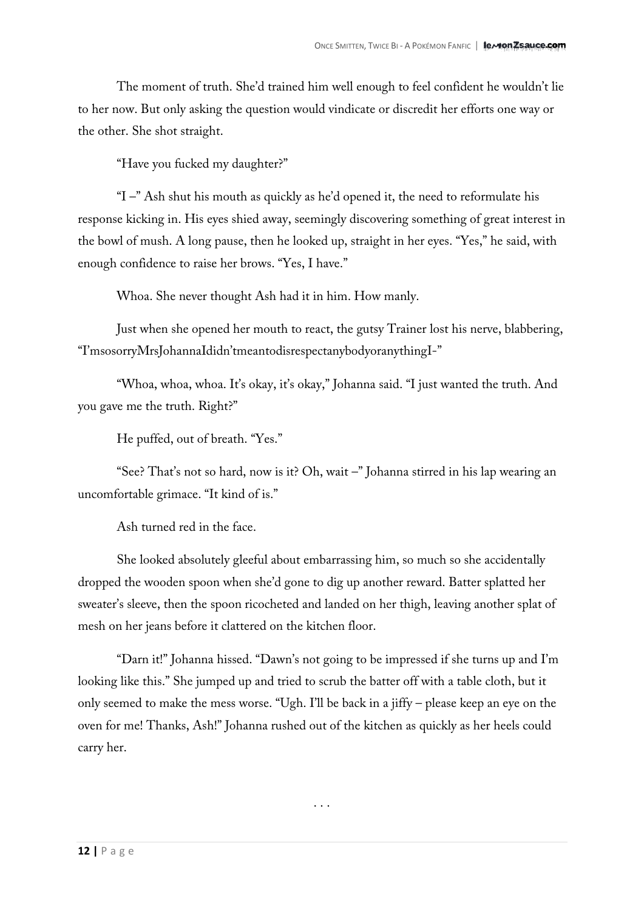The moment of truth. She'd trained him well enough to feel confident he wouldn't lie to her now. But only asking the question would vindicate or discredit her efforts one way or the other. She shot straight.

"Have you fucked my daughter?"

"I –" Ash shut his mouth as quickly as he'd opened it, the need to reformulate his response kicking in. His eyes shied away, seemingly discovering something of great interest in the bowl of mush. A long pause, then he looked up, straight in her eyes. "Yes," he said, with enough confidence to raise her brows. "Yes, I have."

Whoa. She never thought Ash had it in him. How manly.

Just when she opened her mouth to react, the gutsy Trainer lost his nerve, blabbering, "I'msosorryMrsJohannaIdidn'tmeantodisrespectanybodyoranythingI-"

"Whoa, whoa, whoa. It's okay, it's okay," Johanna said. "I just wanted the truth. And you gave me the truth. Right?"

He puffed, out of breath. "Yes."

"See? That's not so hard, now is it? Oh, wait –" Johanna stirred in his lap wearing an uncomfortable grimace. "It kind of is."

Ash turned red in the face.

She looked absolutely gleeful about embarrassing him, so much so she accidentally dropped the wooden spoon when she'd gone to dig up another reward. Batter splatted her sweater's sleeve, then the spoon ricocheted and landed on her thigh, leaving another splat of mesh on her jeans before it clattered on the kitchen floor.

"Darn it!" Johanna hissed. "Dawn's not going to be impressed if she turns up and I'm looking like this." She jumped up and tried to scrub the batter off with a table cloth, but it only seemed to make the mess worse. "Ugh. I'll be back in a jiffy – please keep an eye on the oven for me! Thanks, Ash!" Johanna rushed out of the kitchen as quickly as her heels could carry her.

. . .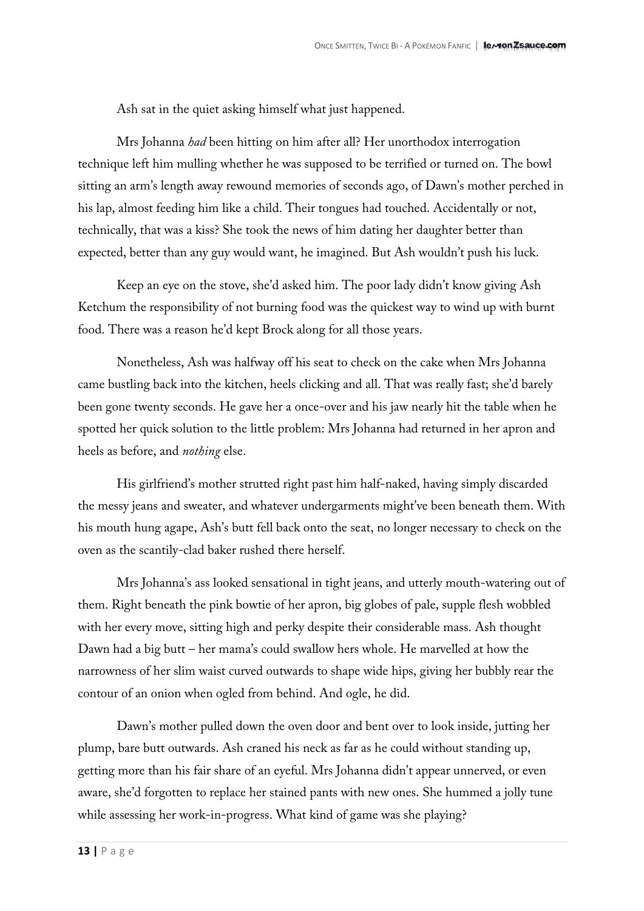Ash sat in the quiet asking himself what just happened.

Mrs Johanna *had* been hitting on him after all? Her unorthodox interrogation technique left him mulling whether he was supposed to be terrified or turned on. The bowl sitting an arm's length away rewound memories of seconds ago, of Dawn's mother perched in his lap, almost feeding him like a child. Their tongues had touched. Accidentally or not, technically, that was a kiss? She took the news of him dating her daughter better than expected, better than any guy would want, he imagined. But Ash wouldn't push his luck.

Keep an eye on the stove, she'd asked him. The poor lady didn't know giving Ash Ketchum the responsibility of not burning food was the quickest way to wind up with burnt food. There was a reason he'd kept Brock along for all those years.

Nonetheless, Ash was halfway off his seat to check on the cake when Mrs Johanna came bustling back into the kitchen, heels clicking and all. That was really fast; she'd barely been gone twenty seconds. He gave her a once-over and his jaw nearly hit the table when he spotted her quick solution to the little problem: Mrs Johanna had returned in her apron and heels as before, and *nothing* else.

His girlfriend's mother strutted right past him half-naked, having simply discarded the messy jeans and sweater, and whatever undergarments might've been beneath them. With his mouth hung agape, Ash's butt fell back onto the seat, no longer necessary to check on the oven as the scantily-clad baker rushed there herself.

Mrs Johanna's ass looked sensational in tight jeans, and utterly mouth-watering out of them. Right beneath the pink bowtie of her apron, big globes of pale, supple flesh wobbled with her every move, sitting high and perky despite their considerable mass. Ash thought Dawn had a big butt – her mama's could swallow hers whole. He marvelled at how the narrowness of her slim waist curved outwards to shape wide hips, giving her bubbly rear the contour of an onion when ogled from behind. And ogle, he did.

Dawn's mother pulled down the oven door and bent over to look inside, jutting her plump, bare butt outwards. Ash craned his neck as far as he could without standing up, getting more than his fair share of an eyeful. Mrs Johanna didn't appear unnerved, or even aware, she'd forgotten to replace her stained pants with new ones. She hummed a jolly tune while assessing her work-in-progress. What kind of game was she playing?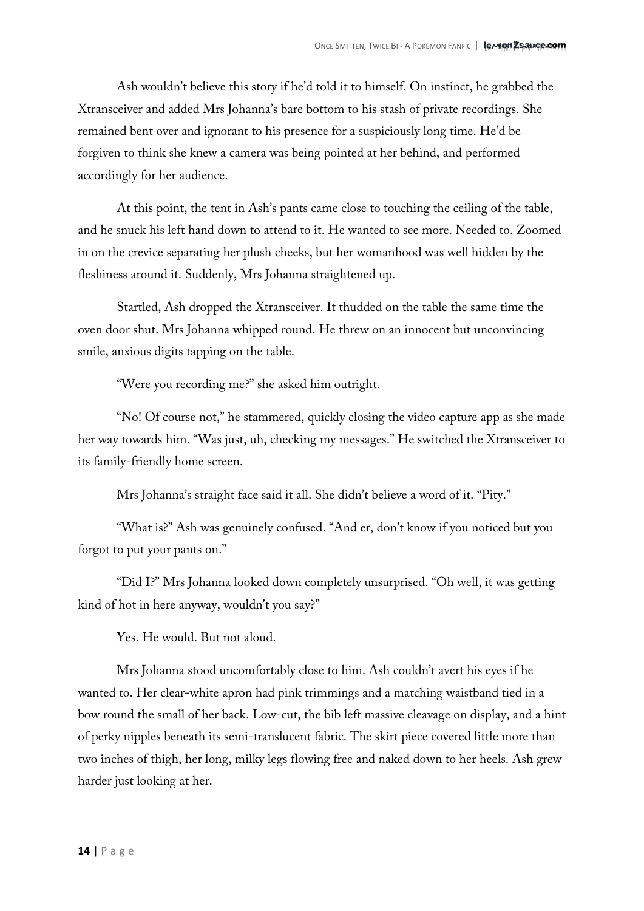Ash wouldn't believe this story if he'd told it to himself. On instinct, he grabbed the Xtransceiver and added Mrs Johanna's bare bottom to his stash of private recordings. She remained bent over and ignorant to his presence for a suspiciously long time. He'd be forgiven to think she knew a camera was being pointed at her behind, and performed accordingly for her audience.

At this point, the tent in Ash's pants came close to touching the ceiling of the table, and he snuck his left hand down to attend to it. He wanted to see more. Needed to. Zoomed in on the crevice separating her plush cheeks, but her womanhood was well hidden by the fleshiness around it. Suddenly, Mrs Johanna straightened up.

Startled, Ash dropped the Xtransceiver. It thudded on the table the same time the oven door shut. Mrs Johanna whipped round. He threw on an innocent but unconvincing smile, anxious digits tapping on the table.

"Were you recording me?" she asked him outright.

"No! Of course not," he stammered, quickly closing the video capture app as she made her way towards him. "Was just, uh, checking my messages." He switched the Xtransceiver to its family-friendly home screen.

Mrs Johanna's straight face said it all. She didn't believe a word of it. "Pity."

"What is?" Ash was genuinely confused. "And er, don't know if you noticed but you forgot to put your pants on."

"Did I?" Mrs Johanna looked down completely unsurprised. "Oh well, it was getting kind of hot in here anyway, wouldn't you say?"

Yes. He would. But not aloud.

Mrs Johanna stood uncomfortably close to him. Ash couldn't avert his eyes if he wanted to. Her clear-white apron had pink trimmings and a matching waistband tied in a bow round the small of her back. Low-cut, the bib left massive cleavage on display, and a hint of perky nipples beneath its semi-translucent fabric. The skirt piece covered little more than two inches of thigh, her long, milky legs flowing free and naked down to her heels. Ash grew harder just looking at her.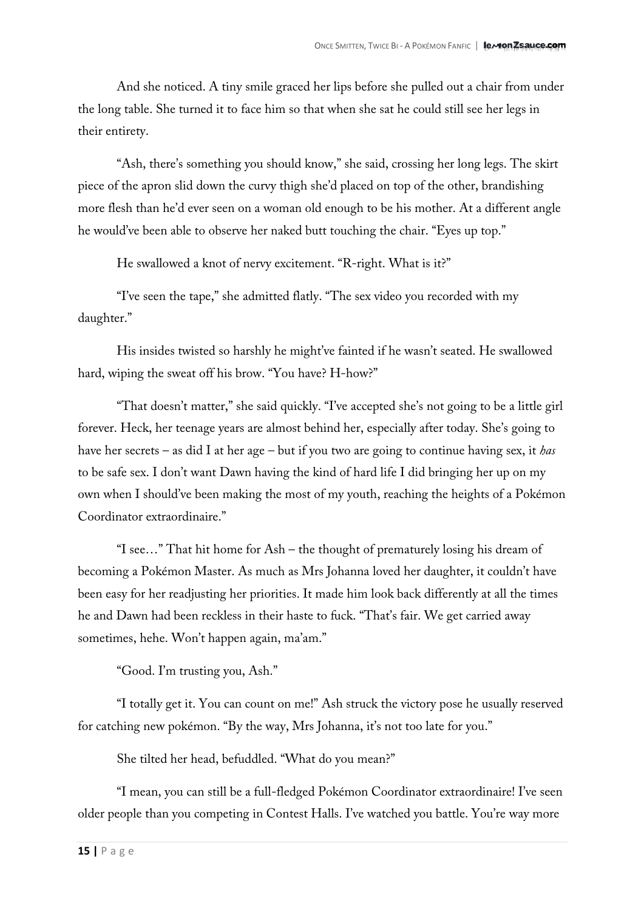And she noticed. A tiny smile graced her lips before she pulled out a chair from under the long table. She turned it to face him so that when she sat he could still see her legs in their entirety.

"Ash, there's something you should know," she said, crossing her long legs. The skirt piece of the apron slid down the curvy thigh she'd placed on top of the other, brandishing more flesh than he'd ever seen on a woman old enough to be his mother. At a different angle he would've been able to observe her naked butt touching the chair. "Eyes up top."

He swallowed a knot of nervy excitement. "R-right. What is it?"

"I've seen the tape," she admitted flatly. "The sex video you recorded with my daughter."

His insides twisted so harshly he might've fainted if he wasn't seated. He swallowed hard, wiping the sweat off his brow. "You have? H-how?"

"That doesn't matter," she said quickly. "I've accepted she's not going to be a little girl forever. Heck, her teenage years are almost behind her, especially after today. She's going to have her secrets – as did I at her age – but if you two are going to continue having sex, it *has* to be safe sex. I don't want Dawn having the kind of hard life I did bringing her up on my own when I should've been making the most of my youth, reaching the heights of a Pokémon Coordinator extraordinaire."

"I see…" That hit home for Ash – the thought of prematurely losing his dream of becoming a Pokémon Master. As much as Mrs Johanna loved her daughter, it couldn't have been easy for her readjusting her priorities. It made him look back differently at all the times he and Dawn had been reckless in their haste to fuck. "That's fair. We get carried away sometimes, hehe. Won't happen again, ma'am."

"Good. I'm trusting you, Ash."

"I totally get it. You can count on me!" Ash struck the victory pose he usually reserved for catching new pokémon. "By the way, Mrs Johanna, it's not too late for you."

She tilted her head, befuddled. "What do you mean?"

"I mean, you can still be a full-fledged Pokémon Coordinator extraordinaire! I've seen older people than you competing in Contest Halls. I've watched you battle. You're way more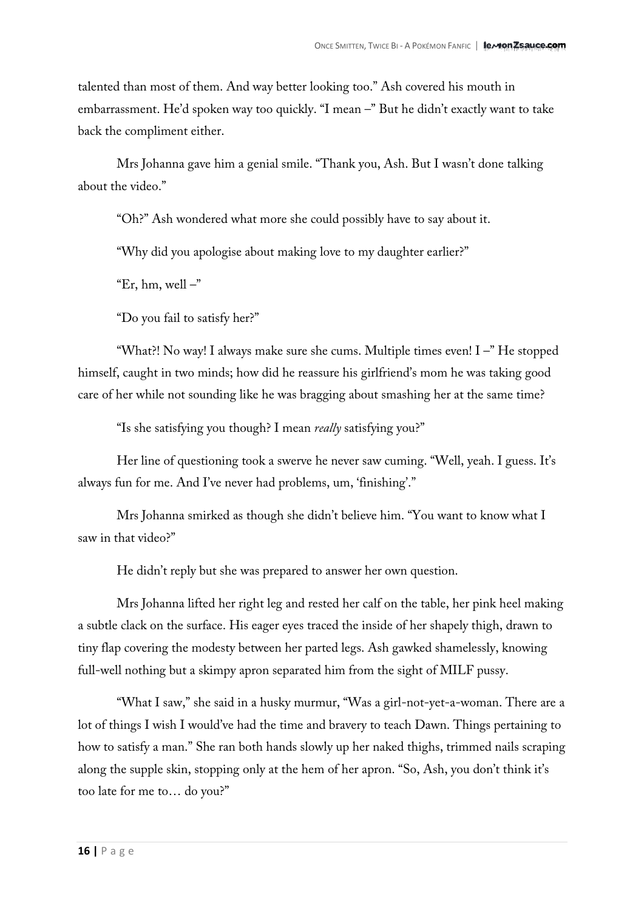talented than most of them. And way better looking too." Ash covered his mouth in embarrassment. He'd spoken way too quickly. "I mean –" But he didn't exactly want to take back the compliment either.

Mrs Johanna gave him a genial smile. "Thank you, Ash. But I wasn't done talking about the video."

"Oh?" Ash wondered what more she could possibly have to say about it.

"Why did you apologise about making love to my daughter earlier?"

"Er, hm, well  $-$ "

"Do you fail to satisfy her?"

"What?! No way! I always make sure she cums. Multiple times even! I –" He stopped himself, caught in two minds; how did he reassure his girlfriend's mom he was taking good care of her while not sounding like he was bragging about smashing her at the same time?

"Is she satisfying you though? I mean *really* satisfying you?"

Her line of questioning took a swerve he never saw cuming. "Well, yeah. I guess. It's always fun for me. And I've never had problems, um, 'finishing'."

Mrs Johanna smirked as though she didn't believe him. "You want to know what I saw in that video?"

He didn't reply but she was prepared to answer her own question.

Mrs Johanna lifted her right leg and rested her calf on the table, her pink heel making a subtle clack on the surface. His eager eyes traced the inside of her shapely thigh, drawn to tiny flap covering the modesty between her parted legs. Ash gawked shamelessly, knowing full-well nothing but a skimpy apron separated him from the sight of MILF pussy.

"What I saw," she said in a husky murmur, "Was a girl-not-yet-a-woman. There are a lot of things I wish I would've had the time and bravery to teach Dawn. Things pertaining to how to satisfy a man." She ran both hands slowly up her naked thighs, trimmed nails scraping along the supple skin, stopping only at the hem of her apron. "So, Ash, you don't think it's too late for me to… do you?"